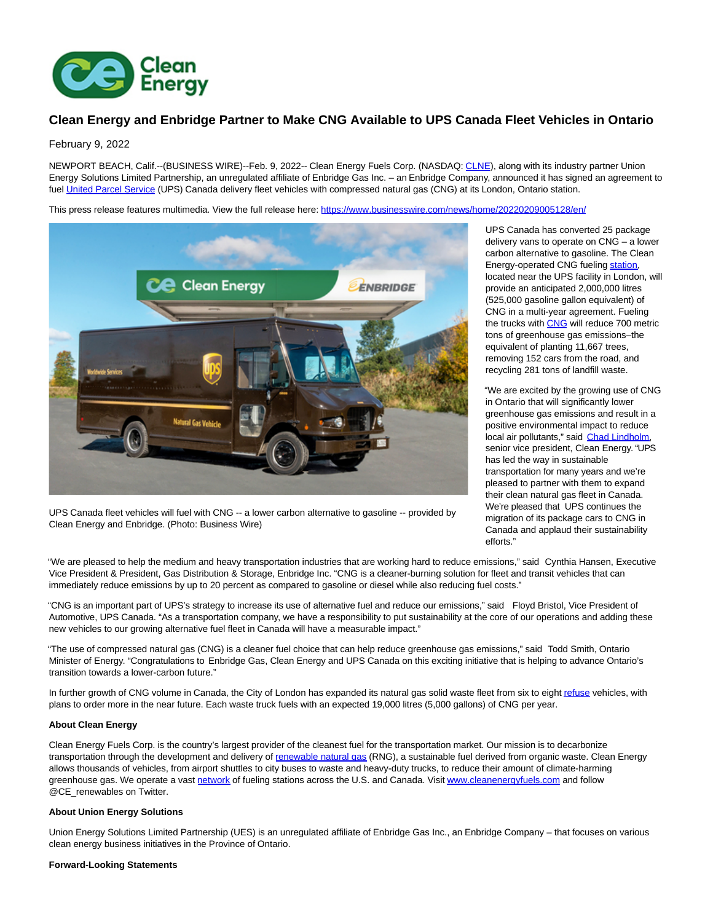

# **Clean Energy and Enbridge Partner to Make CNG Available to UPS Canada Fleet Vehicles in Ontario**

## February 9, 2022

NEWPORT BEACH, Calif.--(BUSINESS WIRE)--Feb. 9, 2022-- Clean Energy Fuels Corp. (NASDAQ: [CLNE\),](https://cts.businesswire.com/ct/CT?id=smartlink&url=https%3A%2F%2Fwww.nasdaq.com%2Fmarket-activity%2Fstocks%2Fclne&esheet=52576045&newsitemid=20220209005128&lan=en-US&anchor=CLNE&index=1&md5=eed0271d57530d00c6d7f0d7c7c8a157) along with its industry partner Union Energy Solutions Limited Partnership, an unregulated affiliate of Enbridge Gas Inc. – an Enbridge Company, announced it has signed an agreement to fuel [United Parcel Service \(](https://cts.businesswire.com/ct/CT?id=smartlink&url=https%3A%2F%2Fwww.ups.com%2Fca%2Fen%2FHome.page&esheet=52576045&newsitemid=20220209005128&lan=en-US&anchor=United+Parcel+Service&index=2&md5=e079bb8a596685c1d1e7fb88fc2c426e)UPS) Canada delivery fleet vehicles with compressed natural gas (CNG) at its London, Ontario station.

This press release features multimedia. View the full release here:<https://www.businesswire.com/news/home/20220209005128/en/>



UPS Canada fleet vehicles will fuel with CNG -- a lower carbon alternative to gasoline -- provided by Clean Energy and Enbridge. (Photo: Business Wire)

UPS Canada has converted 25 package delivery vans to operate on CNG – a lower carbon alternative to gasoline. The Clean Energy-operated CNG fueling [station,](https://cts.businesswire.com/ct/CT?id=smartlink&url=https%3A%2F%2Fwww.cnglngstations.com%2F&esheet=52576045&newsitemid=20220209005128&lan=en-US&anchor=station&index=3&md5=0b80049cae74bd6d89df3c81927fe15f) located near the UPS facility in London, will provide an anticipated 2,000,000 litres (525,000 gasoline gallon equivalent) of CNG in a multi-year agreement. Fueling the trucks with [CNG w](https://cts.businesswire.com/ct/CT?id=smartlink&url=https%3A%2F%2Fwww.cleanenergyfuels.com%2Femissions-calculator&esheet=52576045&newsitemid=20220209005128&lan=en-US&anchor=CNG&index=4&md5=2fb09855cf698d7344911714aac61cb3)ill reduce 700 metric tons of greenhouse gas emissions–the equivalent of planting 11,667 trees, removing 152 cars from the road, and recycling 281 tons of landfill waste.

"We are excited by the growing use of CNG in Ontario that will significantly lower greenhouse gas emissions and result in a positive environmental impact to reduce local air pollutants," said [Chad Lindholm,](https://cts.businesswire.com/ct/CT?id=smartlink&url=https%3A%2F%2Fwww.cleanenergyfuels.com%2Fabout-us%2Fboard-of-directors-leadership%2Fleadership%2Fchad-m-lindholm&esheet=52576045&newsitemid=20220209005128&lan=en-US&anchor=Chad+Lindholm&index=5&md5=673cf4a63eba68809777ad1724e2cbd1) senior vice president, Clean Energy. "UPS has led the way in sustainable transportation for many years and we're pleased to partner with them to expand their clean natural gas fleet in Canada. We're pleased that UPS continues the migration of its package cars to CNG in Canada and applaud their sustainability efforts."

"We are pleased to help the medium and heavy transportation industries that are working hard to reduce emissions," said Cynthia Hansen, Executive Vice President & President, Gas Distribution & Storage, Enbridge Inc. "CNG is a cleaner-burning solution for fleet and transit vehicles that can immediately reduce emissions by up to 20 percent as compared to gasoline or diesel while also reducing fuel costs."

"CNG is an important part of UPS's strategy to increase its use of alternative fuel and reduce our emissions," said Floyd Bristol, Vice President of Automotive, UPS Canada. "As a transportation company, we have a responsibility to put sustainability at the core of our operations and adding these new vehicles to our growing alternative fuel fleet in Canada will have a measurable impact."

"The use of compressed natural gas (CNG) is a cleaner fuel choice that can help reduce greenhouse gas emissions," said Todd Smith, Ontario Minister of Energy. "Congratulations to Enbridge Gas, Clean Energy and UPS Canada on this exciting initiative that is helping to advance Ontario's transition towards a lower-carbon future."

In further growth of CNG volume in Canada, the City of London has expanded its natural gas solid waste fleet from six to eigh[t refuse v](https://cts.businesswire.com/ct/CT?id=smartlink&url=https%3A%2F%2Fwww.cleanenergyfuels.com%2Fcustomer-solutions%2Frefuse&esheet=52576045&newsitemid=20220209005128&lan=en-US&anchor=refuse&index=6&md5=18639536f16e87fc483e9b4d88fe7ccd)ehicles, with plans to order more in the near future. Each waste truck fuels with an expected 19,000 litres (5,000 gallons) of CNG per year.

### **About Clean Energy**

Clean Energy Fuels Corp. is the country's largest provider of the cleanest fuel for the transportation market. Our mission is to decarbonize transportation through the development and delivery of [renewable natural gas \(](https://cts.businesswire.com/ct/CT?id=smartlink&url=https%3A%2F%2Fwww.cleanenergyfuels.com%2F%23why-rng&esheet=52576045&newsitemid=20220209005128&lan=en-US&anchor=renewable+natural+gas&index=7&md5=900690ba38b7a9850c56f00243dd3434)RNG), a sustainable fuel derived from organic waste. Clean Energy allows thousands of vehicles, from airport shuttles to city buses to waste and heavy-duty trucks, to reduce their amount of climate-harming greenhouse gas. We operate a vast [network o](https://cts.businesswire.com/ct/CT?id=smartlink&url=https%3A%2F%2Fwww.cnglngstations.com%2F&esheet=52576045&newsitemid=20220209005128&lan=en-US&anchor=network&index=8&md5=a7331d1a9bf21a70bf92ba001fd0a537)f fueling stations across the U.S. and Canada. Visi[t www.cleanenergyfuels.com a](https://cts.businesswire.com/ct/CT?id=smartlink&url=https%3A%2F%2Fwww.cleanenergyfuels.com%2F&esheet=52576045&newsitemid=20220209005128&lan=en-US&anchor=www.cleanenergyfuels.com&index=9&md5=f328218b80eee13f05af191aefbd9492)nd follow @CE\_renewables on Twitter.

# **About Union Energy Solutions**

Union Energy Solutions Limited Partnership (UES) is an unregulated affiliate of Enbridge Gas Inc., an Enbridge Company – that focuses on various clean energy business initiatives in the Province of Ontario.

#### **Forward-Looking Statements**